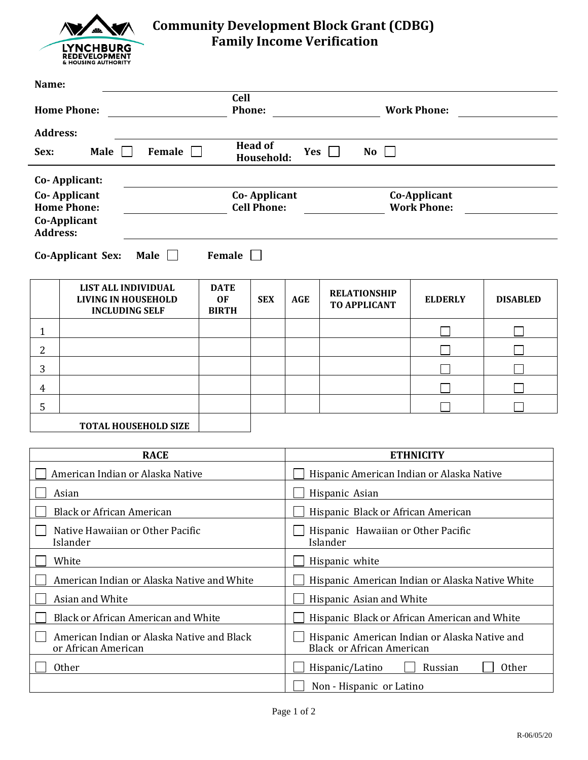

# **Community Development Block Grant (CDBG) Family Income Verification**

| Name:                                                                                                                                                |                            |                            |              |                                           |            |                                            |                |                 |  |  |
|------------------------------------------------------------------------------------------------------------------------------------------------------|----------------------------|----------------------------|--------------|-------------------------------------------|------------|--------------------------------------------|----------------|-----------------|--|--|
| <b>Cell</b>                                                                                                                                          |                            |                            |              |                                           |            |                                            |                |                 |  |  |
| Phone:<br><b>Home Phone:</b><br><u> 1990 - Johann Barbara, politik eta politik eta politik eta politik eta politik eta politik eta politik eta p</u> |                            |                            |              | <b>Work Phone:</b>                        |            |                                            |                |                 |  |  |
|                                                                                                                                                      |                            |                            |              |                                           |            |                                            |                |                 |  |  |
| <b>Address:</b>                                                                                                                                      |                            |                            |              |                                           |            |                                            |                |                 |  |  |
| <b>Head of</b><br>Male $\Box$<br>Female $\Box$<br>Sex:<br>Yes  <br>$\overline{N_0}$    <br>Household:                                                |                            |                            |              |                                           |            |                                            |                |                 |  |  |
| Co-Applicant:                                                                                                                                        |                            |                            |              |                                           |            |                                            |                |                 |  |  |
| <b>Co-Applicant</b>                                                                                                                                  |                            |                            |              | <b>Co-Applicant</b>                       |            | Co-Applicant                               |                |                 |  |  |
| <b>Home Phone:</b>                                                                                                                                   |                            |                            |              | <b>Cell Phone:</b>                        |            | <b>Work Phone:</b>                         |                |                 |  |  |
| Co-Applicant                                                                                                                                         |                            |                            |              |                                           |            |                                            |                |                 |  |  |
| <b>Address:</b>                                                                                                                                      |                            |                            |              |                                           |            |                                            |                |                 |  |  |
|                                                                                                                                                      | Co-Applicant Sex:          | Male $\Box$                | Female       |                                           |            |                                            |                |                 |  |  |
|                                                                                                                                                      |                            |                            |              |                                           |            |                                            |                |                 |  |  |
|                                                                                                                                                      |                            | <b>LIST ALL INDIVIDUAL</b> | <b>DATE</b>  |                                           |            |                                            |                |                 |  |  |
|                                                                                                                                                      | <b>LIVING IN HOUSEHOLD</b> |                            | <b>OF</b>    | <b>SEX</b>                                | <b>AGE</b> | <b>RELATIONSHIP</b><br><b>TO APPLICANT</b> | <b>ELDERLY</b> | <b>DISABLED</b> |  |  |
|                                                                                                                                                      |                            | <b>INCLUDING SELF</b>      | <b>BIRTH</b> |                                           |            |                                            |                |                 |  |  |
| 1                                                                                                                                                    |                            |                            |              |                                           |            |                                            |                |                 |  |  |
| $\overline{2}$                                                                                                                                       |                            |                            |              |                                           |            |                                            |                |                 |  |  |
| 3                                                                                                                                                    |                            |                            |              |                                           |            |                                            |                |                 |  |  |
| $\overline{4}$                                                                                                                                       |                            |                            |              |                                           |            |                                            |                |                 |  |  |
| 5                                                                                                                                                    |                            |                            |              |                                           |            |                                            |                |                 |  |  |
| <b>TOTAL HOUSEHOLD SIZE</b>                                                                                                                          |                            |                            |              |                                           |            |                                            |                |                 |  |  |
|                                                                                                                                                      |                            |                            |              |                                           |            |                                            |                |                 |  |  |
| <b>RACE</b>                                                                                                                                          |                            |                            |              | <b>ETHNICITY</b>                          |            |                                            |                |                 |  |  |
| American Indian or Alaska Native                                                                                                                     |                            |                            |              | Hispanic American Indian or Alaska Native |            |                                            |                |                 |  |  |
| Asian                                                                                                                                                |                            |                            |              | Hispanic Asian                            |            |                                            |                |                 |  |  |

| Asian                                                             | Hispanic Asian                                                                    |
|-------------------------------------------------------------------|-----------------------------------------------------------------------------------|
| <b>Black or African American</b>                                  | Hispanic Black or African American                                                |
| Native Hawaiian or Other Pacific<br>Islander                      | Hispanic Hawaiian or Other Pacific<br>Islander                                    |
| White                                                             | Hispanic white                                                                    |
| American Indian or Alaska Native and White                        | Hispanic American Indian or Alaska Native White                                   |
| Asian and White                                                   | Hispanic Asian and White                                                          |
| Black or African American and White                               | Hispanic Black or African American and White                                      |
| American Indian or Alaska Native and Black<br>or African American | Hispanic American Indian or Alaska Native and<br><b>Black or African American</b> |
| <b>Other</b>                                                      | Hispanic/Latino<br>Russian<br>0ther                                               |
|                                                                   | Non - Hispanic or Latino                                                          |